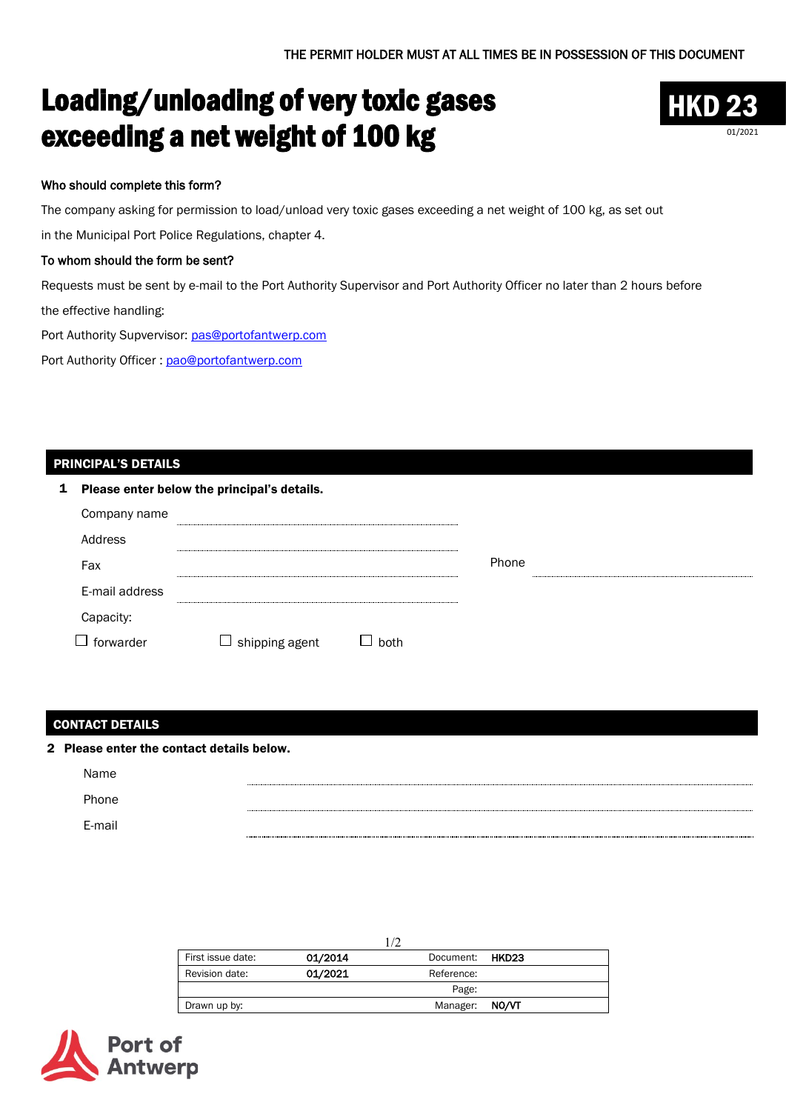# Loading/unloading of very toxic gases exceeding a net weight of 100 kg



# Who should complete this form?

The company asking for permission to load/unload very toxic gases exceeding a net weight of 100 kg, as set out

in the Municipal Port Police Regulations, chapter 4.

## To whom should the form be sent?

Requests must be sent by e-mail to the Port Authority Supervisor and Port Authority Officer no later than 2 hours before the effective handling:

Port Authority Supvervisor: [pas@portofantwerp.com](mailto:pas@portofantwerp.com)

Port Authority Officer : [pao@portofantwerp.com](mailto:pao@portofantwerp.com)

#### PRINCIPAL'S DETAILS

| 1 Please enter below the principal's details. |                       |      |       |  |  |
|-----------------------------------------------|-----------------------|------|-------|--|--|
| Company name                                  |                       |      |       |  |  |
| Address                                       |                       |      |       |  |  |
| Fax                                           |                       |      | Phone |  |  |
| E-mail address                                |                       |      |       |  |  |
| Capacity:                                     |                       |      |       |  |  |
| forwarder                                     | $\Box$ shipping agent | both |       |  |  |

#### CONTACT DETAILS

| 2 Please enter the contact details below. |  |  |  |
|-------------------------------------------|--|--|--|
| Name                                      |  |  |  |
| Phone                                     |  |  |  |
| E-mail                                    |  |  |  |
|                                           |  |  |  |